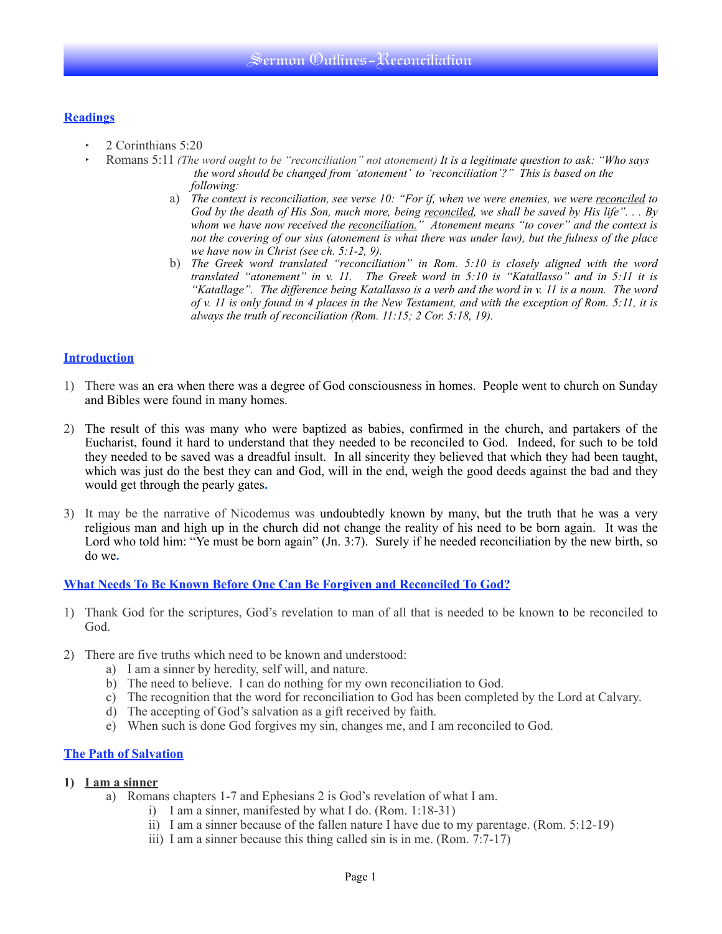## **Readings**

- ‣ 2 Corinthians 5:20
- ‣ Romans 5:11 *(The word ought to be "reconciliation" not atonement) It is a legitimate question to ask: "Who says the word should be changed from 'atonement' to 'reconciliation'?" This is based on the following:* 
	- a) *The context is reconciliation, see verse 10: "For if, when we were enemies, we were reconciled to God by the death of His Son, much more, being reconciled, we shall be saved by His life". . . By whom we have now received the reconciliation." Atonement means "to cover" and the context is not the covering of our sins (atonement is what there was under law), but the fulness of the place we have now in Christ (see ch. 5:1-2, 9).*
	- b) *The Greek word translated "reconciliation" in Rom. 5:10 is closely aligned with the word translated "atonement" in v. 11. The Greek word in 5:10 is "Katallasso" and in 5:11 it is "Katallage". The difference being Katallasso is a verb and the word in v. 11 is a noun. The word of v. 11 is only found in 4 places in the New Testament, and with the exception of Rom. 5:11, it is always the truth of reconciliation (Rom. 11:15; 2 Cor. 5:18, 19).*

## **Introduction**

- 1) There was an era when there was a degree of God consciousness in homes. People went to church on Sunday and Bibles were found in many homes.
- 2) The result of this was many who were baptized as babies, confirmed in the church, and partakers of the Eucharist, found it hard to understand that they needed to be reconciled to God. Indeed, for such to be told they needed to be saved was a dreadful insult. In all sincerity they believed that which they had been taught, which was just do the best they can and God, will in the end, weigh the good deeds against the bad and they would get through the pearly gates**.**
- 3) It may be the narrative of Nicodemus was undoubtedly known by many, but the truth that he was a very religious man and high up in the church did not change the reality of his need to be born again. It was the Lord who told him: "Ye must be born again" (Jn. 3:7). Surely if he needed reconciliation by the new birth, so do we**.**

### **What Needs To Be Known Before One Can Be Forgiven and Reconciled To God?**

- 1) Thank God for the scriptures, God's revelation to man of all that is needed to be known to be reconciled to God.
- 2) There are five truths which need to be known and understood:
	- a) I am a sinner by heredity, self will, and nature.
	- b) The need to believe. I can do nothing for my own reconciliation to God.
	- c) The recognition that the word for reconciliation to God has been completed by the Lord at Calvary.
	- d) The accepting of God's salvation as a gift received by faith.
	- e) When such is done God forgives my sin, changes me, and I am reconciled to God.

### **The Path of Salvation**

#### **1) I am a sinner**

- a) Romans chapters 1-7 and Ephesians 2 is God's revelation of what I am.
	- i) I am a sinner, manifested by what I do. (Rom. 1:18-31)
	- ii) I am a sinner because of the fallen nature I have due to my parentage. (Rom. 5:12-19)
	- iii) I am a sinner because this thing called sin is in me. (Rom.  $7:7-17$ )